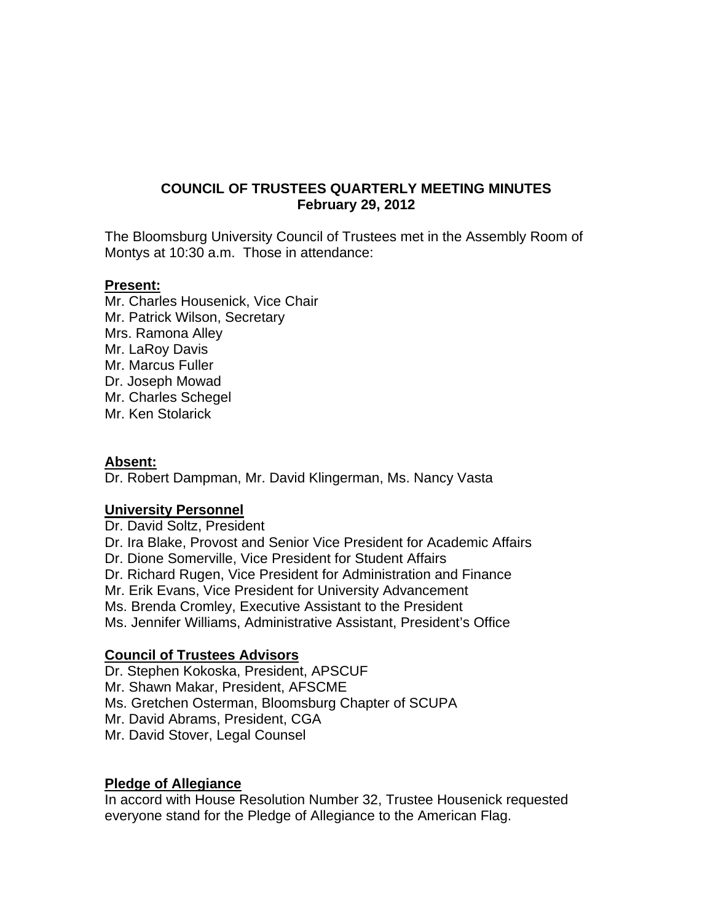# **COUNCIL OF TRUSTEES QUARTERLY MEETING MINUTES February 29, 2012**

The Bloomsburg University Council of Trustees met in the Assembly Room of Montys at 10:30 a.m. Those in attendance:

#### **Present:**

Mr. Charles Housenick, Vice Chair Mr. Patrick Wilson, Secretary Mrs. Ramona Alley Mr. LaRoy Davis Mr. Marcus Fuller Dr. Joseph Mowad Mr. Charles Schegel Mr. Ken Stolarick

#### **Absent:**

Dr. Robert Dampman, Mr. David Klingerman, Ms. Nancy Vasta

## **University Personnel**

Dr. David Soltz, President Dr. Ira Blake, Provost and Senior Vice President for Academic Affairs Dr. Dione Somerville, Vice President for Student Affairs Dr. Richard Rugen, Vice President for Administration and Finance Mr. Erik Evans, Vice President for University Advancement Ms. Brenda Cromley, Executive Assistant to the President Ms. Jennifer Williams, Administrative Assistant, President's Office

## **Council of Trustees Advisors**

Dr. Stephen Kokoska, President, APSCUF Mr. Shawn Makar, President, AFSCME Ms. Gretchen Osterman, Bloomsburg Chapter of SCUPA Mr. David Abrams, President, CGA Mr. David Stover, Legal Counsel

## **Pledge of Allegiance**

In accord with House Resolution Number 32, Trustee Housenick requested everyone stand for the Pledge of Allegiance to the American Flag.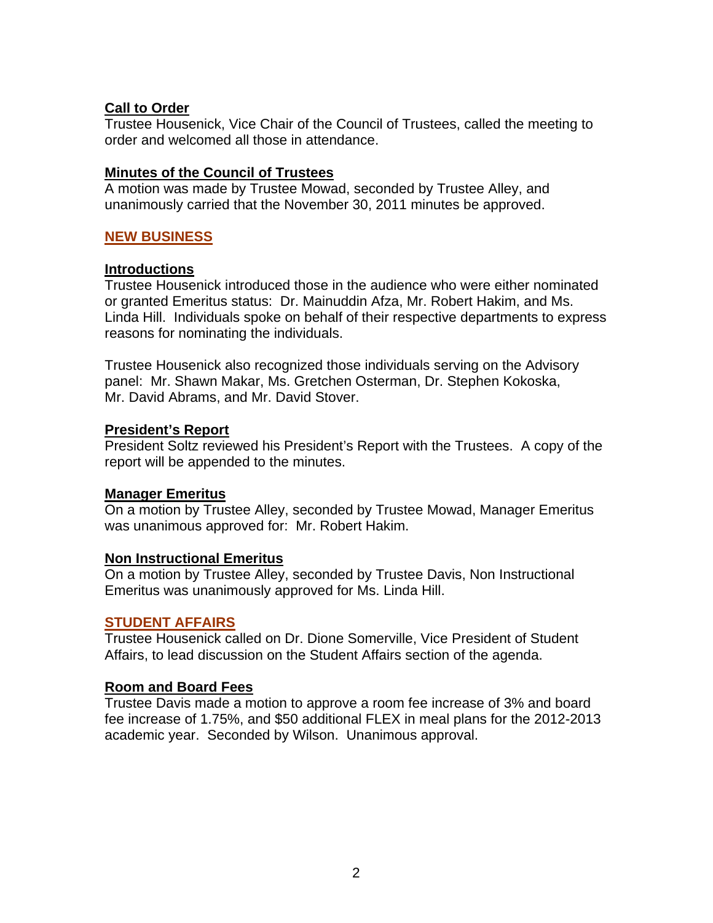# **Call to Order**

Trustee Housenick, Vice Chair of the Council of Trustees, called the meeting to order and welcomed all those in attendance.

## **Minutes of the Council of Trustees**

A motion was made by Trustee Mowad, seconded by Trustee Alley, and unanimously carried that the November 30, 2011 minutes be approved.

# **NEW BUSINESS**

## **Introductions**

Trustee Housenick introduced those in the audience who were either nominated or granted Emeritus status: Dr. Mainuddin Afza, Mr. Robert Hakim, and Ms. Linda Hill. Individuals spoke on behalf of their respective departments to express reasons for nominating the individuals.

Trustee Housenick also recognized those individuals serving on the Advisory panel: Mr. Shawn Makar, Ms. Gretchen Osterman, Dr. Stephen Kokoska, Mr. David Abrams, and Mr. David Stover.

## **President's Report**

President Soltz reviewed his President's Report with the Trustees. A copy of the report will be appended to the minutes.

# **Manager Emeritus**

On a motion by Trustee Alley, seconded by Trustee Mowad, Manager Emeritus was unanimous approved for: Mr. Robert Hakim.

## **Non Instructional Emeritus**

On a motion by Trustee Alley, seconded by Trustee Davis, Non Instructional Emeritus was unanimously approved for Ms. Linda Hill.

## **STUDENT AFFAIRS**

Trustee Housenick called on Dr. Dione Somerville, Vice President of Student Affairs, to lead discussion on the Student Affairs section of the agenda.

## **Room and Board Fees**

Trustee Davis made a motion to approve a room fee increase of 3% and board fee increase of 1.75%, and \$50 additional FLEX in meal plans for the 2012-2013 academic year. Seconded by Wilson. Unanimous approval.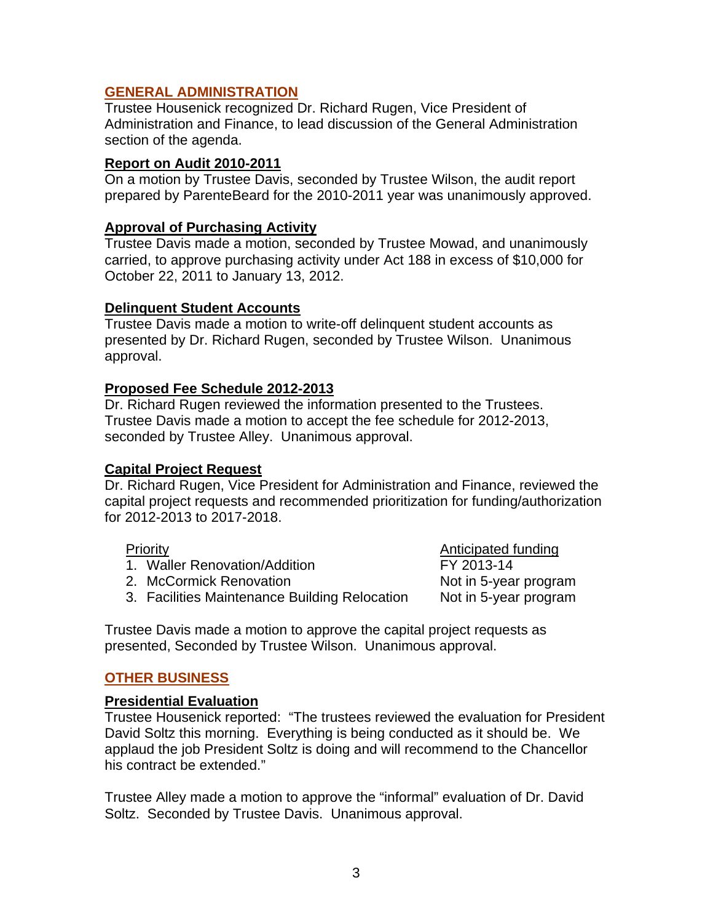## **GENERAL ADMINISTRATION**

Trustee Housenick recognized Dr. Richard Rugen, Vice President of Administration and Finance, to lead discussion of the General Administration section of the agenda.

#### **Report on Audit 2010-2011**

On a motion by Trustee Davis, seconded by Trustee Wilson, the audit report prepared by ParenteBeard for the 2010-2011 year was unanimously approved.

#### **Approval of Purchasing Activity**

Trustee Davis made a motion, seconded by Trustee Mowad, and unanimously carried, to approve purchasing activity under Act 188 in excess of \$10,000 for October 22, 2011 to January 13, 2012.

#### **Delinquent Student Accounts**

Trustee Davis made a motion to write-off delinquent student accounts as presented by Dr. Richard Rugen, seconded by Trustee Wilson. Unanimous approval.

#### **Proposed Fee Schedule 2012-2013**

Dr. Richard Rugen reviewed the information presented to the Trustees. Trustee Davis made a motion to accept the fee schedule for 2012-2013, seconded by Trustee Alley. Unanimous approval.

#### **Capital Project Request**

Dr. Richard Rugen, Vice President for Administration and Finance, reviewed the capital project requests and recommended prioritization for funding/authorization for 2012-2013 to 2017-2018.

- Priority **Anticipated funding** 1. Waller Renovation/Addition FY 2013-14 2. McCormick Renovation Not in 5-year program
- 3. Facilities Maintenance Building Relocation Not in 5-year program

Trustee Davis made a motion to approve the capital project requests as presented, Seconded by Trustee Wilson. Unanimous approval.

## **OTHER BUSINESS**

## **Presidential Evaluation**

Trustee Housenick reported: "The trustees reviewed the evaluation for President David Soltz this morning. Everything is being conducted as it should be. We applaud the job President Soltz is doing and will recommend to the Chancellor his contract be extended."

Trustee Alley made a motion to approve the "informal" evaluation of Dr. David Soltz. Seconded by Trustee Davis. Unanimous approval.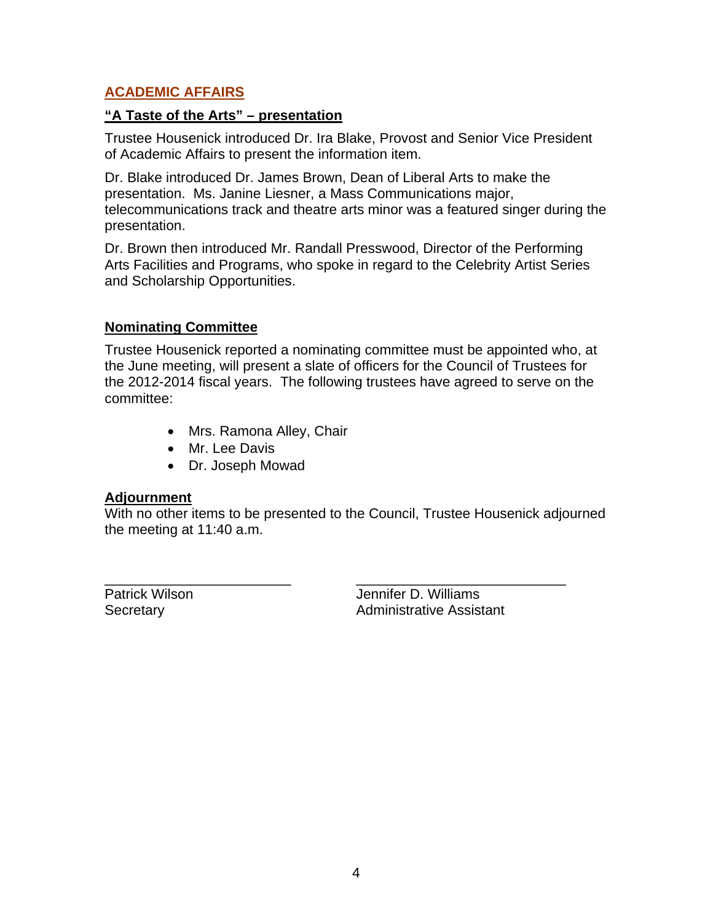# **ACADEMIC AFFAIRS**

#### **"A Taste of the Arts" – presentation**

Trustee Housenick introduced Dr. Ira Blake, Provost and Senior Vice President of Academic Affairs to present the information item.

Dr. Blake introduced Dr. James Brown, Dean of Liberal Arts to make the presentation. Ms. Janine Liesner, a Mass Communications major, telecommunications track and theatre arts minor was a featured singer during the presentation.

Dr. Brown then introduced Mr. Randall Presswood, Director of the Performing Arts Facilities and Programs, who spoke in regard to the Celebrity Artist Series and Scholarship Opportunities.

## **Nominating Committee**

Trustee Housenick reported a nominating committee must be appointed who, at the June meeting, will present a slate of officers for the Council of Trustees for the 2012-2014 fiscal years. The following trustees have agreed to serve on the committee:

- Mrs. Ramona Alley, Chair
- Mr. Lee Davis
- Dr. Joseph Mowad

## **Adjournment**

With no other items to be presented to the Council, Trustee Housenick adjourned the meeting at 11:40 a.m.

\_\_\_\_\_\_\_\_\_\_\_\_\_\_\_\_\_\_\_\_\_\_\_\_ \_\_\_\_\_\_\_\_\_\_\_\_\_\_\_\_\_\_\_\_\_\_\_\_\_\_\_

Patrick Wilson **D. Williams** Secretary **Administrative Assistant**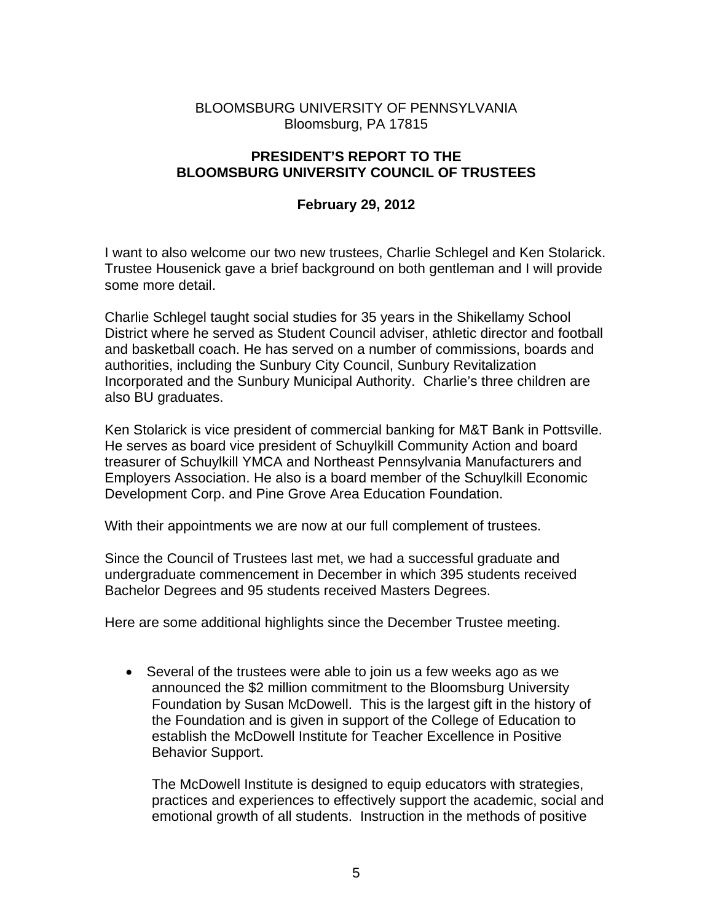# BLOOMSBURG UNIVERSITY OF PENNSYLVANIA Bloomsburg, PA 17815

## **PRESIDENT'S REPORT TO THE BLOOMSBURG UNIVERSITY COUNCIL OF TRUSTEES**

# **February 29, 2012**

I want to also welcome our two new trustees, Charlie Schlegel and Ken Stolarick. Trustee Housenick gave a brief background on both gentleman and I will provide some more detail.

Charlie Schlegel taught social studies for 35 years in the Shikellamy School District where he served as Student Council adviser, athletic director and football and basketball coach. He has served on a number of commissions, boards and authorities, including the Sunbury City Council, Sunbury Revitalization Incorporated and the Sunbury Municipal Authority. Charlie's three children are also BU graduates.

Ken Stolarick is vice president of commercial banking for M&T Bank in Pottsville. He serves as board vice president of Schuylkill Community Action and board treasurer of Schuylkill YMCA and Northeast Pennsylvania Manufacturers and Employers Association. He also is a board member of the Schuylkill Economic Development Corp. and Pine Grove Area Education Foundation.

With their appointments we are now at our full complement of trustees.

Since the Council of Trustees last met, we had a successful graduate and undergraduate commencement in December in which 395 students received Bachelor Degrees and 95 students received Masters Degrees.

Here are some additional highlights since the December Trustee meeting.

 Several of the trustees were able to join us a few weeks ago as we announced the \$2 million commitment to the Bloomsburg University Foundation by Susan McDowell. This is the largest gift in the history of the Foundation and is given in support of the College of Education to establish the McDowell Institute for Teacher Excellence in Positive Behavior Support.

The McDowell Institute is designed to equip educators with strategies, practices and experiences to effectively support the academic, social and emotional growth of all students. Instruction in the methods of positive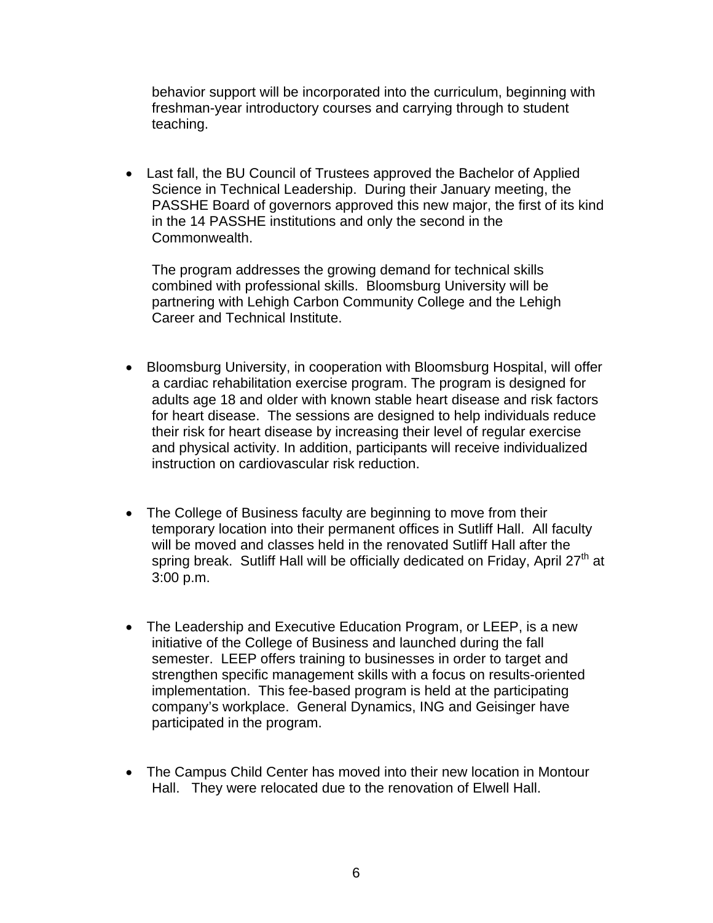behavior support will be incorporated into the curriculum, beginning with freshman-year introductory courses and carrying through to student teaching.

 Last fall, the BU Council of Trustees approved the Bachelor of Applied Science in Technical Leadership. During their January meeting, the PASSHE Board of governors approved this new major, the first of its kind in the 14 PASSHE institutions and only the second in the Commonwealth.

The program addresses the growing demand for technical skills combined with professional skills. Bloomsburg University will be partnering with Lehigh Carbon Community College and the Lehigh Career and Technical Institute.

- Bloomsburg University, in cooperation with Bloomsburg Hospital, will offer a cardiac rehabilitation exercise program. The program is designed for adults age 18 and older with known stable heart disease and risk factors for heart disease. The sessions are designed to help individuals reduce their risk for heart disease by increasing their level of regular exercise and physical activity. In addition, participants will receive individualized instruction on cardiovascular risk reduction.
- The College of Business faculty are beginning to move from their temporary location into their permanent offices in Sutliff Hall. All faculty will be moved and classes held in the renovated Sutliff Hall after the spring break. Sutliff Hall will be officially dedicated on Friday, April  $27<sup>th</sup>$  at 3:00 p.m.
- The Leadership and Executive Education Program, or LEEP, is a new initiative of the College of Business and launched during the fall semester. LEEP offers training to businesses in order to target and strengthen specific management skills with a focus on results-oriented implementation. This fee-based program is held at the participating company's workplace. General Dynamics, ING and Geisinger have participated in the program.
- The Campus Child Center has moved into their new location in Montour Hall. They were relocated due to the renovation of Elwell Hall.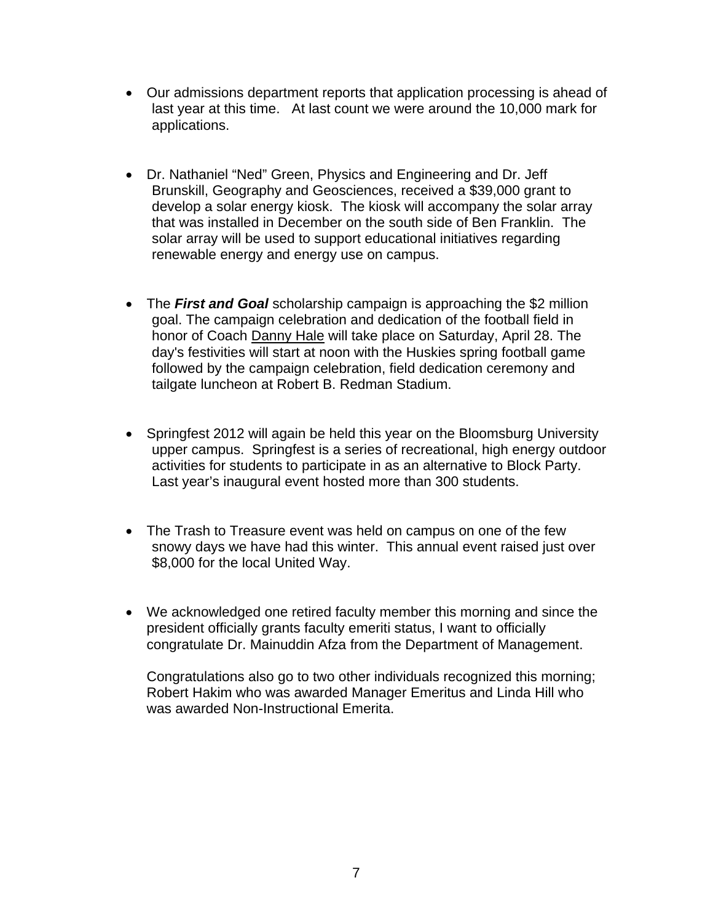- Our admissions department reports that application processing is ahead of last year at this time. At last count we were around the 10,000 mark for applications.
- Dr. Nathaniel "Ned" Green, Physics and Engineering and Dr. Jeff Brunskill, Geography and Geosciences, received a \$39,000 grant to develop a solar energy kiosk. The kiosk will accompany the solar array that was installed in December on the south side of Ben Franklin. The solar array will be used to support educational initiatives regarding renewable energy and energy use on campus.
- The *First and Goal* scholarship campaign is approaching the \$2 million goal. The campaign celebration and dedication of the football field in honor of Coach Danny Hale will take place on Saturday, April 28. The day's festivities will start at noon with the Huskies spring football game followed by the campaign celebration, field dedication ceremony and tailgate luncheon at Robert B. Redman Stadium.
- Springfest 2012 will again be held this year on the Bloomsburg University upper campus. Springfest is a series of recreational, high energy outdoor activities for students to participate in as an alternative to Block Party. Last year's inaugural event hosted more than 300 students.
- The Trash to Treasure event was held on campus on one of the few snowy days we have had this winter. This annual event raised just over \$8,000 for the local United Way.
- We acknowledged one retired faculty member this morning and since the president officially grants faculty emeriti status, I want to officially congratulate Dr. Mainuddin Afza from the Department of Management.

Congratulations also go to two other individuals recognized this morning; Robert Hakim who was awarded Manager Emeritus and Linda Hill who was awarded Non-Instructional Emerita.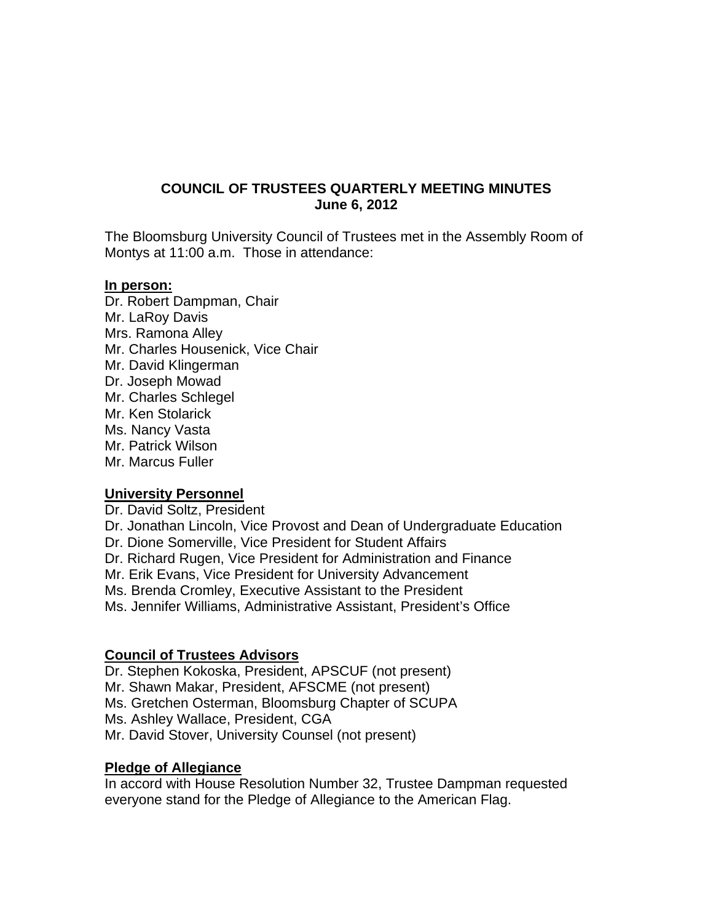# **COUNCIL OF TRUSTEES QUARTERLY MEETING MINUTES June 6, 2012**

The Bloomsburg University Council of Trustees met in the Assembly Room of Montys at 11:00 a.m. Those in attendance:

#### **In person:**

Dr. Robert Dampman, Chair Mr. LaRoy Davis Mrs. Ramona Alley Mr. Charles Housenick, Vice Chair Mr. David Klingerman Dr. Joseph Mowad Mr. Charles Schlegel Mr. Ken Stolarick Ms. Nancy Vasta Mr. Patrick Wilson Mr. Marcus Fuller

## **University Personnel**

Dr. David Soltz, President Dr. Jonathan Lincoln, Vice Provost and Dean of Undergraduate Education Dr. Dione Somerville, Vice President for Student Affairs Dr. Richard Rugen, Vice President for Administration and Finance Mr. Erik Evans, Vice President for University Advancement Ms. Brenda Cromley, Executive Assistant to the President Ms. Jennifer Williams, Administrative Assistant, President's Office

# **Council of Trustees Advisors**

Dr. Stephen Kokoska, President, APSCUF (not present) Mr. Shawn Makar, President, AFSCME (not present) Ms. Gretchen Osterman, Bloomsburg Chapter of SCUPA Ms. Ashley Wallace, President, CGA Mr. David Stover, University Counsel (not present)

## **Pledge of Allegiance**

In accord with House Resolution Number 32, Trustee Dampman requested everyone stand for the Pledge of Allegiance to the American Flag.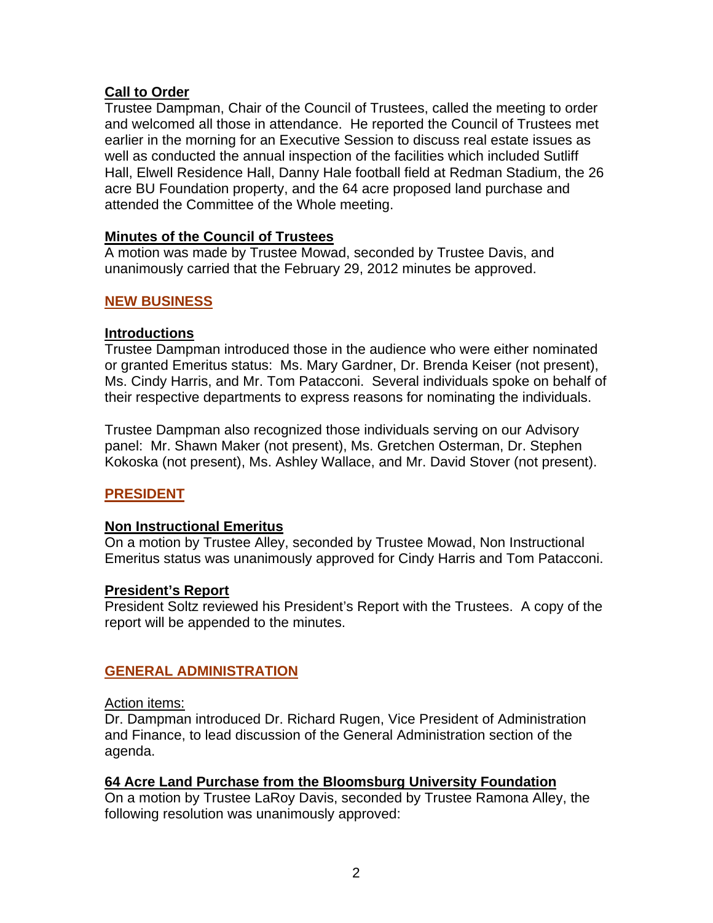# **Call to Order**

Trustee Dampman, Chair of the Council of Trustees, called the meeting to order and welcomed all those in attendance. He reported the Council of Trustees met earlier in the morning for an Executive Session to discuss real estate issues as well as conducted the annual inspection of the facilities which included Sutliff Hall, Elwell Residence Hall, Danny Hale football field at Redman Stadium, the 26 acre BU Foundation property, and the 64 acre proposed land purchase and attended the Committee of the Whole meeting.

## **Minutes of the Council of Trustees**

A motion was made by Trustee Mowad, seconded by Trustee Davis, and unanimously carried that the February 29, 2012 minutes be approved.

# **NEW BUSINESS**

## **Introductions**

Trustee Dampman introduced those in the audience who were either nominated or granted Emeritus status: Ms. Mary Gardner, Dr. Brenda Keiser (not present), Ms. Cindy Harris, and Mr. Tom Patacconi. Several individuals spoke on behalf of their respective departments to express reasons for nominating the individuals.

Trustee Dampman also recognized those individuals serving on our Advisory panel: Mr. Shawn Maker (not present), Ms. Gretchen Osterman, Dr. Stephen Kokoska (not present), Ms. Ashley Wallace, and Mr. David Stover (not present).

# **PRESIDENT**

## **Non Instructional Emeritus**

On a motion by Trustee Alley, seconded by Trustee Mowad, Non Instructional Emeritus status was unanimously approved for Cindy Harris and Tom Patacconi.

## **President's Report**

President Soltz reviewed his President's Report with the Trustees. A copy of the report will be appended to the minutes.

## **GENERAL ADMINISTRATION**

## Action items:

Dr. Dampman introduced Dr. Richard Rugen, Vice President of Administration and Finance, to lead discussion of the General Administration section of the agenda.

## **64 Acre Land Purchase from the Bloomsburg University Foundation**

On a motion by Trustee LaRoy Davis, seconded by Trustee Ramona Alley, the following resolution was unanimously approved: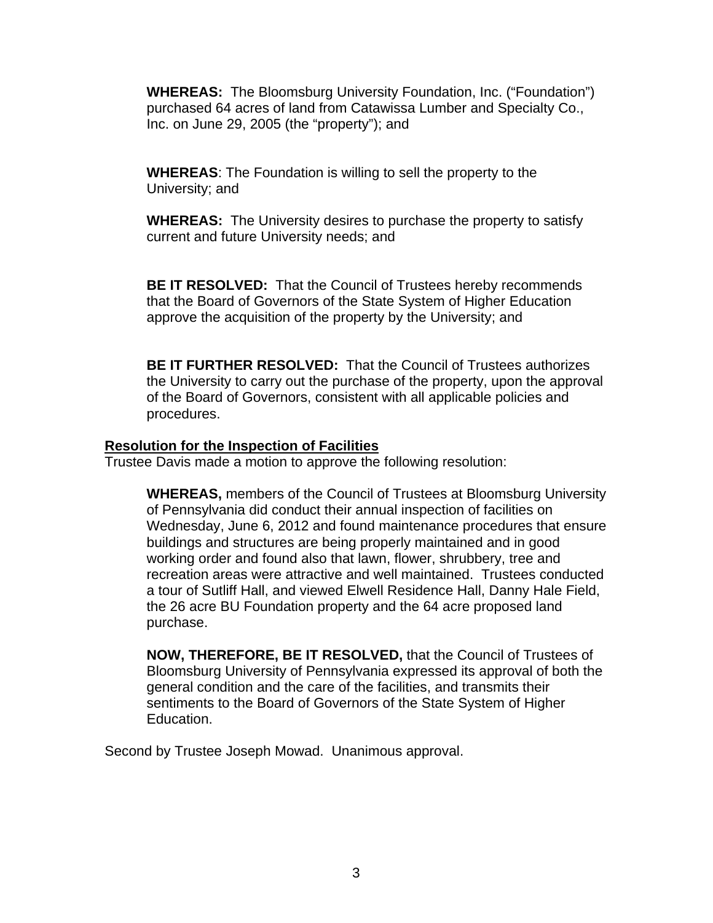**WHEREAS:** The Bloomsburg University Foundation, Inc. ("Foundation") purchased 64 acres of land from Catawissa Lumber and Specialty Co., Inc. on June 29, 2005 (the "property"); and

**WHEREAS**: The Foundation is willing to sell the property to the University; and

**WHEREAS:** The University desires to purchase the property to satisfy current and future University needs; and

**BE IT RESOLVED:** That the Council of Trustees hereby recommends that the Board of Governors of the State System of Higher Education approve the acquisition of the property by the University; and

**BE IT FURTHER RESOLVED:** That the Council of Trustees authorizes the University to carry out the purchase of the property, upon the approval of the Board of Governors, consistent with all applicable policies and procedures.

#### **Resolution for the Inspection of Facilities**

Trustee Davis made a motion to approve the following resolution:

**WHEREAS,** members of the Council of Trustees at Bloomsburg University of Pennsylvania did conduct their annual inspection of facilities on Wednesday, June 6, 2012 and found maintenance procedures that ensure buildings and structures are being properly maintained and in good working order and found also that lawn, flower, shrubbery, tree and recreation areas were attractive and well maintained. Trustees conducted a tour of Sutliff Hall, and viewed Elwell Residence Hall, Danny Hale Field, the 26 acre BU Foundation property and the 64 acre proposed land purchase.

**NOW, THEREFORE, BE IT RESOLVED,** that the Council of Trustees of Bloomsburg University of Pennsylvania expressed its approval of both the general condition and the care of the facilities, and transmits their sentiments to the Board of Governors of the State System of Higher Education.

Second by Trustee Joseph Mowad. Unanimous approval.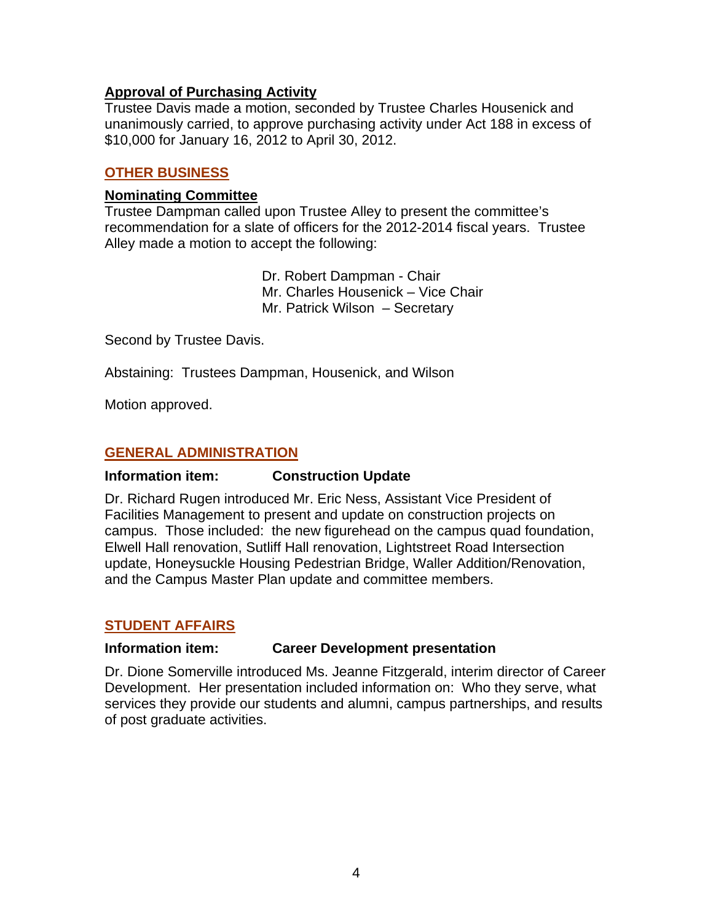## **Approval of Purchasing Activity**

Trustee Davis made a motion, seconded by Trustee Charles Housenick and unanimously carried, to approve purchasing activity under Act 188 in excess of \$10,000 for January 16, 2012 to April 30, 2012.

# **OTHER BUSINESS**

## **Nominating Committee**

Trustee Dampman called upon Trustee Alley to present the committee's recommendation for a slate of officers for the 2012-2014 fiscal years. Trustee Alley made a motion to accept the following:

> Dr. Robert Dampman - Chair Mr. Charles Housenick – Vice Chair Mr. Patrick Wilson – Secretary

Second by Trustee Davis.

Abstaining: Trustees Dampman, Housenick, and Wilson

Motion approved.

# **GENERAL ADMINISTRATION**

## **Information item: Construction Update**

Dr. Richard Rugen introduced Mr. Eric Ness, Assistant Vice President of Facilities Management to present and update on construction projects on campus. Those included: the new figurehead on the campus quad foundation, Elwell Hall renovation, Sutliff Hall renovation, Lightstreet Road Intersection update, Honeysuckle Housing Pedestrian Bridge, Waller Addition/Renovation, and the Campus Master Plan update and committee members.

# **STUDENT AFFAIRS**

## **Information item: Career Development presentation**

Dr. Dione Somerville introduced Ms. Jeanne Fitzgerald, interim director of Career Development. Her presentation included information on: Who they serve, what services they provide our students and alumni, campus partnerships, and results of post graduate activities.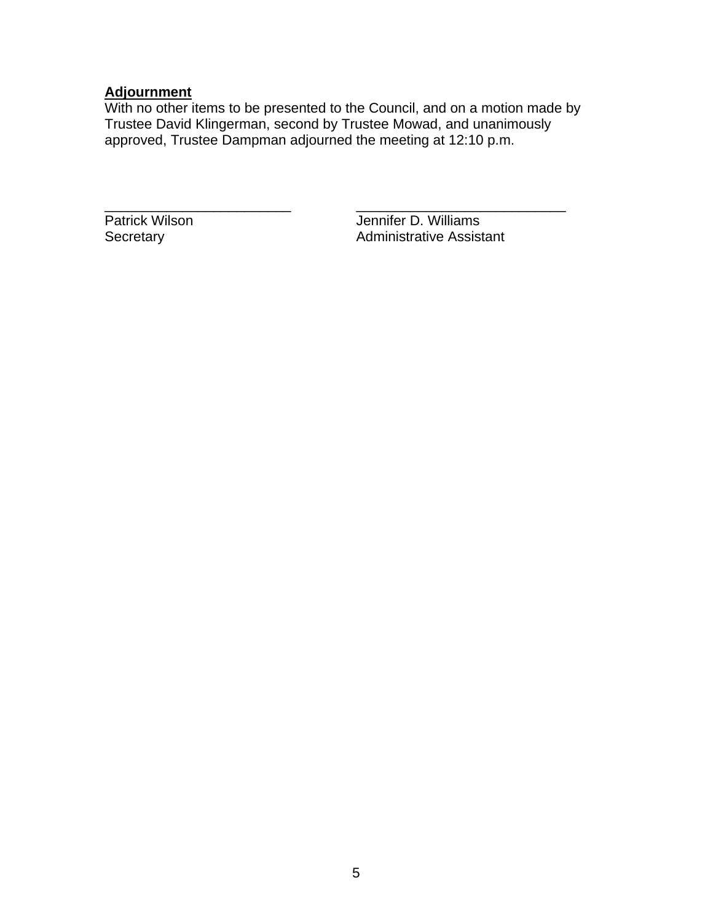## **Adjournment**

With no other items to be presented to the Council, and on a motion made by Trustee David Klingerman, second by Trustee Mowad, and unanimously approved, Trustee Dampman adjourned the meeting at 12:10 p.m.

\_\_\_\_\_\_\_\_\_\_\_\_\_\_\_\_\_\_\_\_\_\_\_\_ \_\_\_\_\_\_\_\_\_\_\_\_\_\_\_\_\_\_\_\_\_\_\_\_\_\_\_ Patrick Wilson **Jennifer D. Williams**<br>Secretary **Administrative Assistem** Administrative Assistant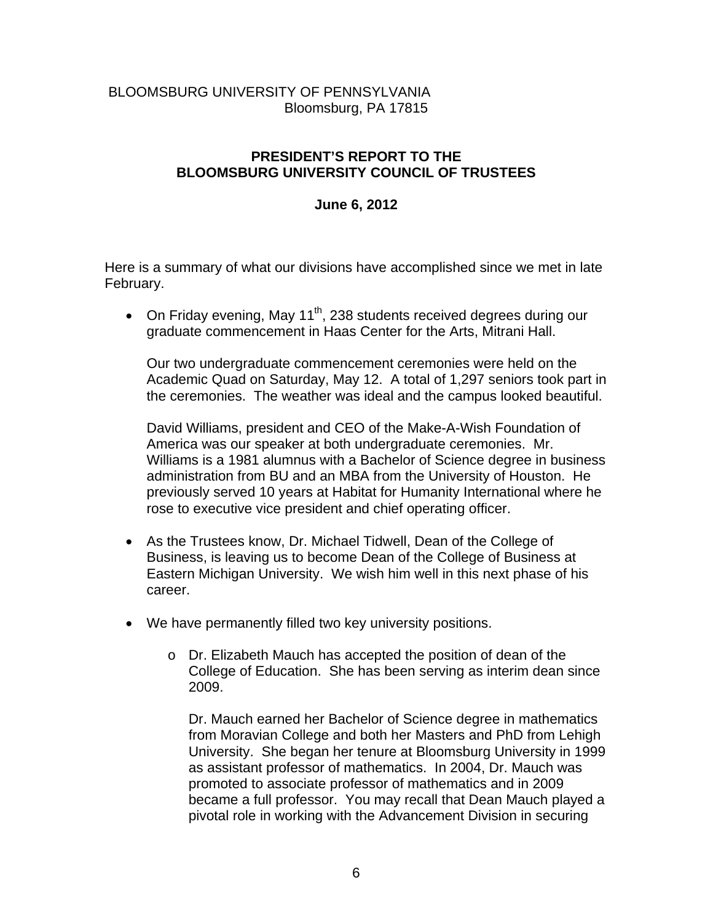# BLOOMSBURG UNIVERSITY OF PENNSYLVANIA Bloomsburg, PA 17815

# **PRESIDENT'S REPORT TO THE BLOOMSBURG UNIVERSITY COUNCIL OF TRUSTEES**

#### **June 6, 2012**

Here is a summary of what our divisions have accomplished since we met in late February.

• On Friday evening, May 11<sup>th</sup>, 238 students received degrees during our graduate commencement in Haas Center for the Arts, Mitrani Hall.

Our two undergraduate commencement ceremonies were held on the Academic Quad on Saturday, May 12. A total of 1,297 seniors took part in the ceremonies. The weather was ideal and the campus looked beautiful.

David Williams, president and CEO of the Make-A-Wish Foundation of America was our speaker at both undergraduate ceremonies. Mr. Williams is a 1981 alumnus with a Bachelor of Science degree in business administration from BU and an MBA from the University of Houston. He previously served 10 years at Habitat for Humanity International where he rose to executive vice president and chief operating officer.

- As the Trustees know, Dr. Michael Tidwell, Dean of the College of Business, is leaving us to become Dean of the College of Business at Eastern Michigan University. We wish him well in this next phase of his career.
- We have permanently filled two key university positions.
	- o Dr. Elizabeth Mauch has accepted the position of dean of the College of Education. She has been serving as interim dean since 2009.

Dr. Mauch earned her Bachelor of Science degree in mathematics from Moravian College and both her Masters and PhD from Lehigh University. She began her tenure at Bloomsburg University in 1999 as assistant professor of mathematics. In 2004, Dr. Mauch was promoted to associate professor of mathematics and in 2009 became a full professor. You may recall that Dean Mauch played a pivotal role in working with the Advancement Division in securing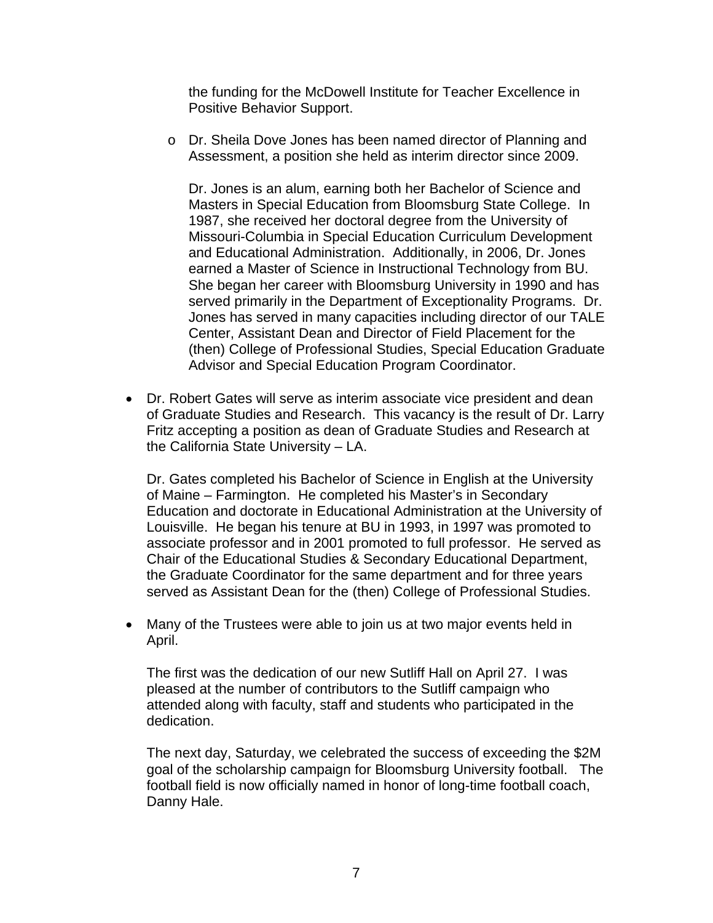the funding for the McDowell Institute for Teacher Excellence in Positive Behavior Support.

o Dr. Sheila Dove Jones has been named director of Planning and Assessment, a position she held as interim director since 2009.

Dr. Jones is an alum, earning both her Bachelor of Science and Masters in Special Education from Bloomsburg State College. In 1987, she received her doctoral degree from the University of Missouri-Columbia in Special Education Curriculum Development and Educational Administration. Additionally, in 2006, Dr. Jones earned a Master of Science in Instructional Technology from BU. She began her career with Bloomsburg University in 1990 and has served primarily in the Department of Exceptionality Programs. Dr. Jones has served in many capacities including director of our TALE Center, Assistant Dean and Director of Field Placement for the (then) College of Professional Studies, Special Education Graduate Advisor and Special Education Program Coordinator.

 Dr. Robert Gates will serve as interim associate vice president and dean of Graduate Studies and Research. This vacancy is the result of Dr. Larry Fritz accepting a position as dean of Graduate Studies and Research at the California State University – LA.

Dr. Gates completed his Bachelor of Science in English at the University of Maine – Farmington. He completed his Master's in Secondary Education and doctorate in Educational Administration at the University of Louisville. He began his tenure at BU in 1993, in 1997 was promoted to associate professor and in 2001 promoted to full professor. He served as Chair of the Educational Studies & Secondary Educational Department, the Graduate Coordinator for the same department and for three years served as Assistant Dean for the (then) College of Professional Studies.

 Many of the Trustees were able to join us at two major events held in April.

The first was the dedication of our new Sutliff Hall on April 27. I was pleased at the number of contributors to the Sutliff campaign who attended along with faculty, staff and students who participated in the dedication.

The next day, Saturday, we celebrated the success of exceeding the \$2M goal of the scholarship campaign for Bloomsburg University football. The football field is now officially named in honor of long-time football coach, Danny Hale.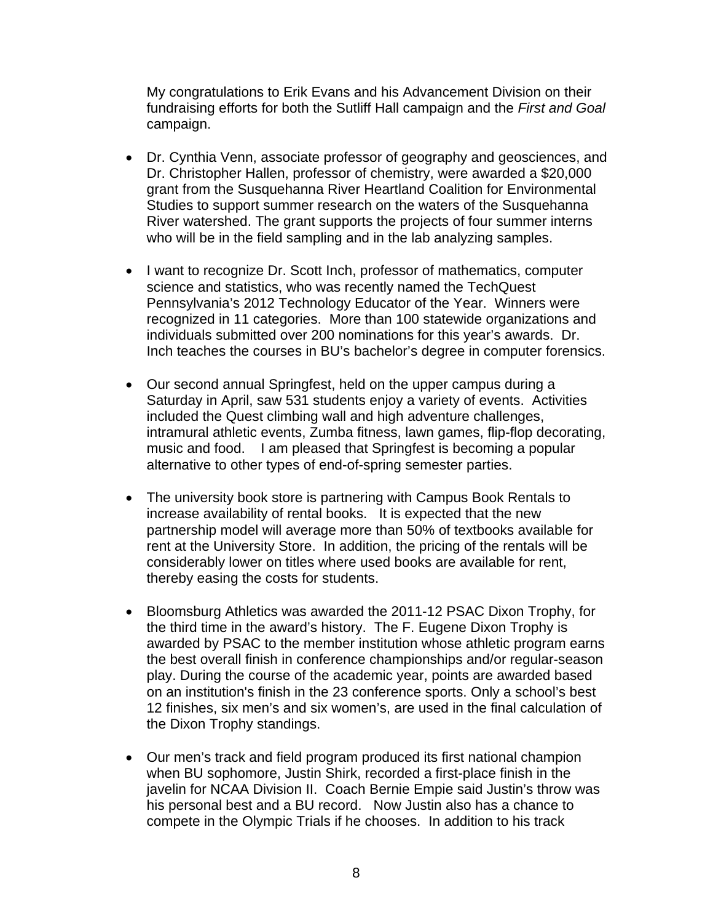My congratulations to Erik Evans and his Advancement Division on their fundraising efforts for both the Sutliff Hall campaign and the *First and Goal* campaign.

- Dr. Cynthia Venn, associate professor of geography and geosciences, and Dr. Christopher Hallen, professor of chemistry, were awarded a \$20,000 grant from the Susquehanna River Heartland Coalition for Environmental Studies to support summer research on the waters of the Susquehanna River watershed. The grant supports the projects of four summer interns who will be in the field sampling and in the lab analyzing samples.
- I want to recognize Dr. Scott Inch, professor of mathematics, computer science and statistics, who was recently named the TechQuest Pennsylvania's 2012 Technology Educator of the Year. Winners were recognized in 11 categories. More than 100 statewide organizations and individuals submitted over 200 nominations for this year's awards. Dr. Inch teaches the courses in BU's bachelor's degree in computer forensics.
- Our second annual Springfest, held on the upper campus during a Saturday in April, saw 531 students enjoy a variety of events. Activities included the Quest climbing wall and high adventure challenges, intramural athletic events, Zumba fitness, lawn games, flip-flop decorating, music and food. I am pleased that Springfest is becoming a popular alternative to other types of end-of-spring semester parties.
- The university book store is partnering with Campus Book Rentals to increase availability of rental books. It is expected that the new partnership model will average more than 50% of textbooks available for rent at the University Store. In addition, the pricing of the rentals will be considerably lower on titles where used books are available for rent, thereby easing the costs for students.
- Bloomsburg Athletics was awarded the 2011-12 PSAC Dixon Trophy, for the third time in the award's history. The F. Eugene Dixon Trophy is awarded by PSAC to the member institution whose athletic program earns the best overall finish in conference championships and/or regular-season play. During the course of the academic year, points are awarded based on an institution's finish in the 23 conference sports. Only a school's best 12 finishes, six men's and six women's, are used in the final calculation of the Dixon Trophy standings.
- Our men's track and field program produced its first national champion when BU sophomore, Justin Shirk, recorded a first-place finish in the javelin for NCAA Division II. Coach Bernie Empie said Justin's throw was his personal best and a BU record. Now Justin also has a chance to compete in the Olympic Trials if he chooses. In addition to his track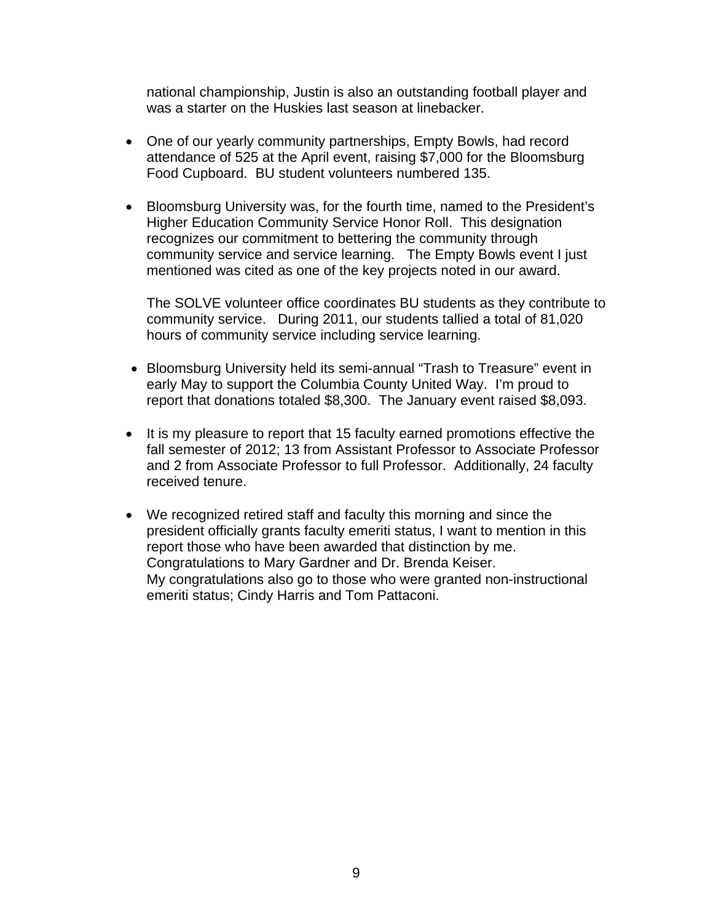national championship, Justin is also an outstanding football player and was a starter on the Huskies last season at linebacker.

- One of our yearly community partnerships, Empty Bowls, had record attendance of 525 at the April event, raising \$7,000 for the Bloomsburg Food Cupboard. BU student volunteers numbered 135.
- Bloomsburg University was, for the fourth time, named to the President's Higher Education Community Service Honor Roll. This designation recognizes our commitment to bettering the community through community service and service learning. The Empty Bowls event I just mentioned was cited as one of the key projects noted in our award.

The SOLVE volunteer office coordinates BU students as they contribute to community service. During 2011, our students tallied a total of 81,020 hours of community service including service learning.

- Bloomsburg University held its semi-annual "Trash to Treasure" event in early May to support the Columbia County United Way. I'm proud to report that donations totaled \$8,300. The January event raised \$8,093.
- It is my pleasure to report that 15 faculty earned promotions effective the fall semester of 2012; 13 from Assistant Professor to Associate Professor and 2 from Associate Professor to full Professor. Additionally, 24 faculty received tenure.
- We recognized retired staff and faculty this morning and since the president officially grants faculty emeriti status, I want to mention in this report those who have been awarded that distinction by me. Congratulations to Mary Gardner and Dr. Brenda Keiser. My congratulations also go to those who were granted non-instructional emeriti status; Cindy Harris and Tom Pattaconi.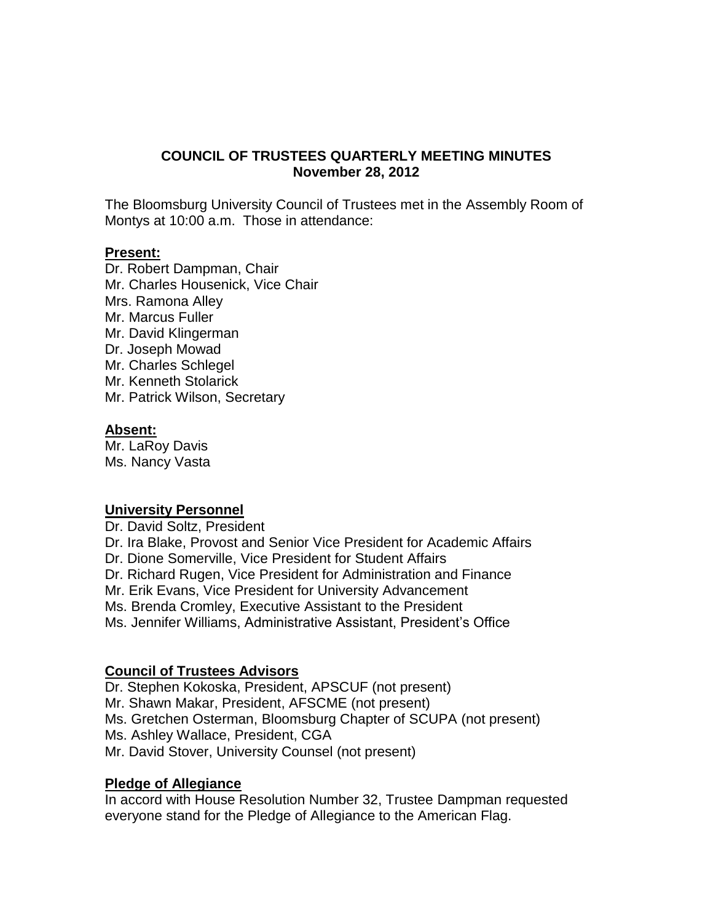# **COUNCIL OF TRUSTEES QUARTERLY MEETING MINUTES November 28, 2012**

The Bloomsburg University Council of Trustees met in the Assembly Room of Montys at 10:00 a.m. Those in attendance:

#### **Present:**

Dr. Robert Dampman, Chair Mr. Charles Housenick, Vice Chair Mrs. Ramona Alley Mr. Marcus Fuller Mr. David Klingerman Dr. Joseph Mowad Mr. Charles Schlegel Mr. Kenneth Stolarick Mr. Patrick Wilson, Secretary

#### **Absent:**

Mr. LaRoy Davis Ms. Nancy Vasta

#### **University Personnel**

Dr. David Soltz, President Dr. Ira Blake, Provost and Senior Vice President for Academic Affairs Dr. Dione Somerville, Vice President for Student Affairs Dr. Richard Rugen, Vice President for Administration and Finance Mr. Erik Evans, Vice President for University Advancement Ms. Brenda Cromley, Executive Assistant to the President Ms. Jennifer Williams, Administrative Assistant, President's Office

#### **Council of Trustees Advisors**

Dr. Stephen Kokoska, President, APSCUF (not present) Mr. Shawn Makar, President, AFSCME (not present) Ms. Gretchen Osterman, Bloomsburg Chapter of SCUPA (not present) Ms. Ashley Wallace, President, CGA Mr. David Stover, University Counsel (not present)

#### **Pledge of Allegiance**

In accord with House Resolution Number 32, Trustee Dampman requested everyone stand for the Pledge of Allegiance to the American Flag.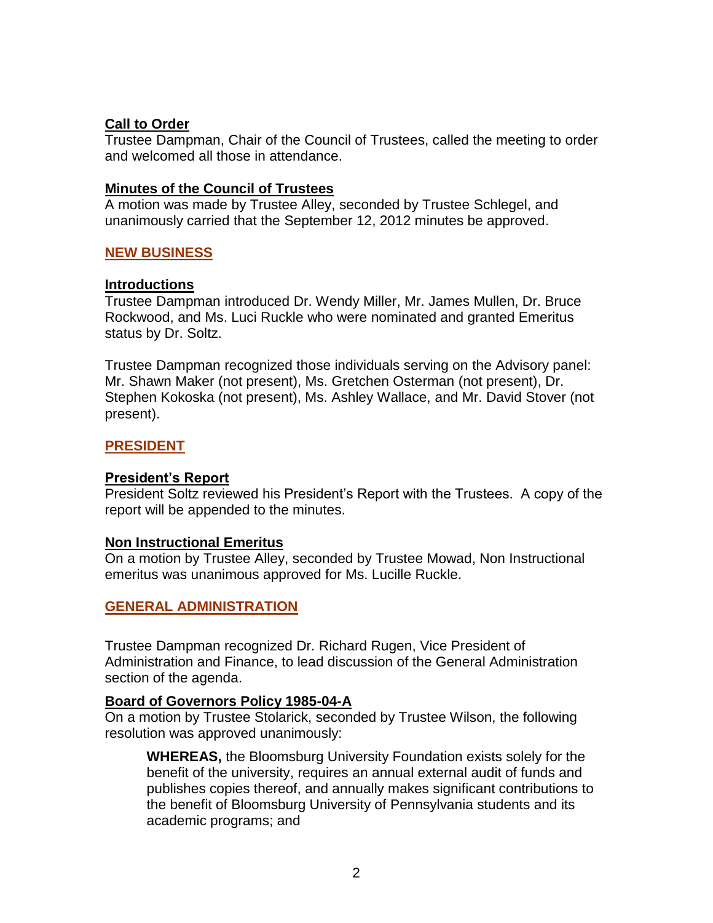# **Call to Order**

Trustee Dampman, Chair of the Council of Trustees, called the meeting to order and welcomed all those in attendance.

#### **Minutes of the Council of Trustees**

A motion was made by Trustee Alley, seconded by Trustee Schlegel, and unanimously carried that the September 12, 2012 minutes be approved.

## **NEW BUSINESS**

#### **Introductions**

Trustee Dampman introduced Dr. Wendy Miller, Mr. James Mullen, Dr. Bruce Rockwood, and Ms. Luci Ruckle who were nominated and granted Emeritus status by Dr. Soltz.

Trustee Dampman recognized those individuals serving on the Advisory panel: Mr. Shawn Maker (not present), Ms. Gretchen Osterman (not present), Dr. Stephen Kokoska (not present), Ms. Ashley Wallace, and Mr. David Stover (not present).

#### **PRESIDENT**

#### **President's Report**

President Soltz reviewed his President's Report with the Trustees. A copy of the report will be appended to the minutes.

#### **Non Instructional Emeritus**

On a motion by Trustee Alley, seconded by Trustee Mowad, Non Instructional emeritus was unanimous approved for Ms. Lucille Ruckle.

## **GENERAL ADMINISTRATION**

Trustee Dampman recognized Dr. Richard Rugen, Vice President of Administration and Finance, to lead discussion of the General Administration section of the agenda.

#### **Board of Governors Policy 1985-04-A**

On a motion by Trustee Stolarick, seconded by Trustee Wilson, the following resolution was approved unanimously:

**WHEREAS,** the Bloomsburg University Foundation exists solely for the benefit of the university, requires an annual external audit of funds and publishes copies thereof, and annually makes significant contributions to the benefit of Bloomsburg University of Pennsylvania students and its academic programs; and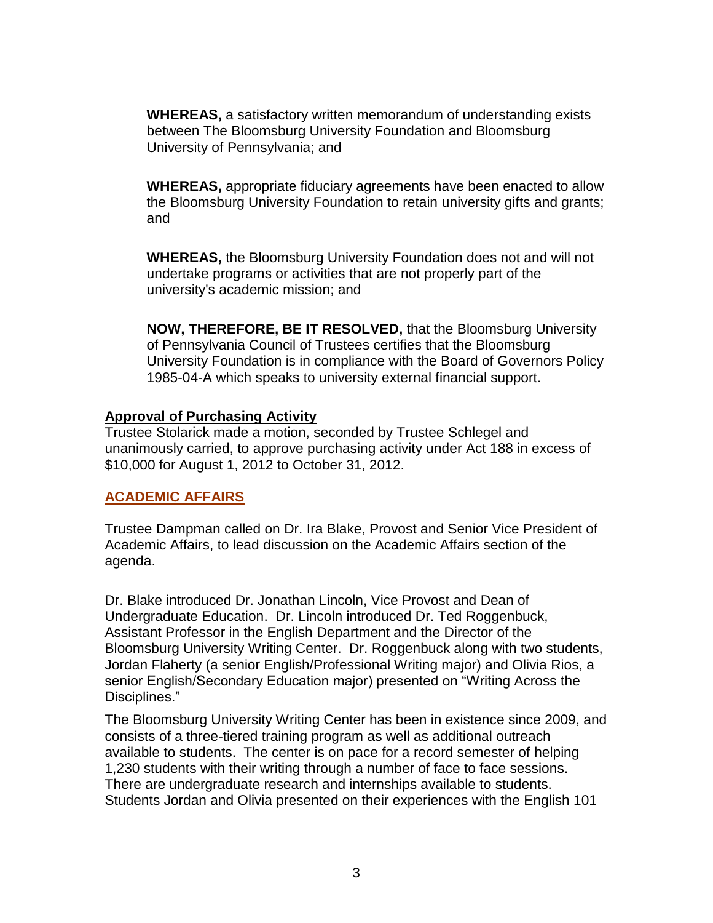**WHEREAS,** a satisfactory written memorandum of understanding exists between The Bloomsburg University Foundation and Bloomsburg University of Pennsylvania; and

**WHEREAS,** appropriate fiduciary agreements have been enacted to allow the Bloomsburg University Foundation to retain university gifts and grants; and

**WHEREAS,** the Bloomsburg University Foundation does not and will not undertake programs or activities that are not properly part of the university's academic mission; and

**NOW, THEREFORE, BE IT RESOLVED,** that the Bloomsburg University of Pennsylvania Council of Trustees certifies that the Bloomsburg University Foundation is in compliance with the Board of Governors Policy 1985-04-A which speaks to university external financial support.

## **Approval of Purchasing Activity**

Trustee Stolarick made a motion, seconded by Trustee Schlegel and unanimously carried, to approve purchasing activity under Act 188 in excess of \$10,000 for August 1, 2012 to October 31, 2012.

# **ACADEMIC AFFAIRS**

Trustee Dampman called on Dr. Ira Blake, Provost and Senior Vice President of Academic Affairs, to lead discussion on the Academic Affairs section of the agenda.

Dr. Blake introduced Dr. Jonathan Lincoln, Vice Provost and Dean of Undergraduate Education. Dr. Lincoln introduced Dr. Ted Roggenbuck, Assistant Professor in the English Department and the Director of the Bloomsburg University Writing Center. Dr. Roggenbuck along with two students, Jordan Flaherty (a senior English/Professional Writing major) and Olivia Rios, a senior English/Secondary Education major) presented on "Writing Across the Disciplines."

The Bloomsburg University Writing Center has been in existence since 2009, and consists of a three-tiered training program as well as additional outreach available to students. The center is on pace for a record semester of helping 1,230 students with their writing through a number of face to face sessions. There are undergraduate research and internships available to students. Students Jordan and Olivia presented on their experiences with the English 101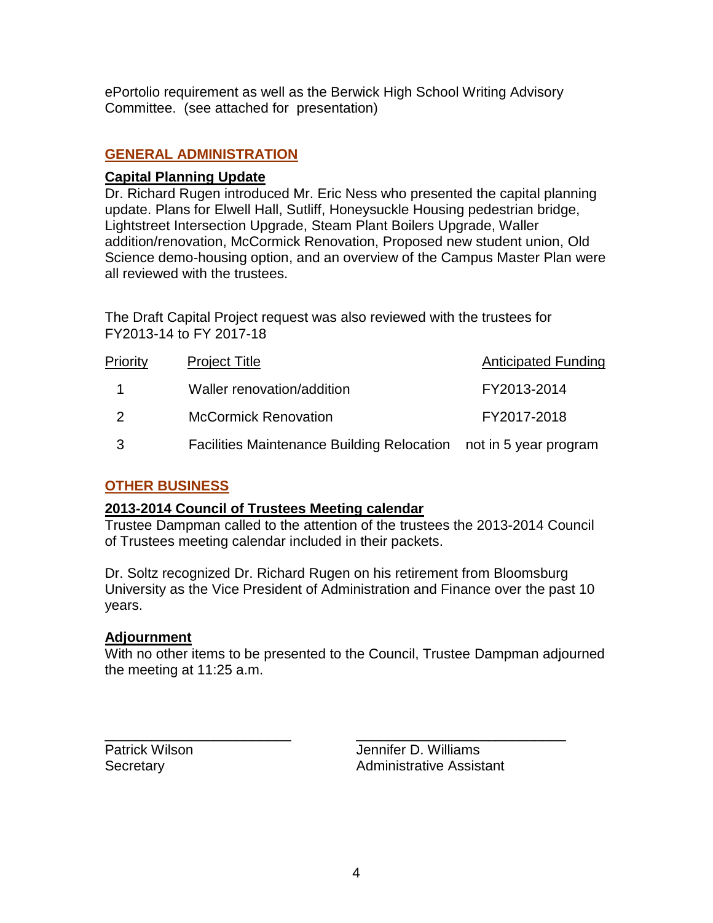ePortolio requirement as well as the Berwick High School Writing Advisory Committee. (see attached for presentation)

# **GENERAL ADMINISTRATION**

## **Capital Planning Update**

Dr. Richard Rugen introduced Mr. Eric Ness who presented the capital planning update. Plans for Elwell Hall, Sutliff, Honeysuckle Housing pedestrian bridge, Lightstreet Intersection Upgrade, Steam Plant Boilers Upgrade, Waller addition/renovation, McCormick Renovation, Proposed new student union, Old Science demo-housing option, and an overview of the Campus Master Plan were all reviewed with the trustees.

The Draft Capital Project request was also reviewed with the trustees for FY2013-14 to FY 2017-18

| Priority      | <b>Project Title</b>                                             | <b>Anticipated Funding</b> |
|---------------|------------------------------------------------------------------|----------------------------|
|               | Waller renovation/addition                                       | FY2013-2014                |
| $\mathcal{P}$ | <b>McCormick Renovation</b>                                      | FY2017-2018                |
| -3            | Facilities Maintenance Building Relocation not in 5 year program |                            |

# **OTHER BUSINESS**

## **2013-2014 Council of Trustees Meeting calendar**

Trustee Dampman called to the attention of the trustees the 2013-2014 Council of Trustees meeting calendar included in their packets.

Dr. Soltz recognized Dr. Richard Rugen on his retirement from Bloomsburg University as the Vice President of Administration and Finance over the past 10 years.

## **Adjournment**

With no other items to be presented to the Council, Trustee Dampman adjourned the meeting at 11:25 a.m.

\_\_\_\_\_\_\_\_\_\_\_\_\_\_\_\_\_\_\_\_\_\_\_\_ \_\_\_\_\_\_\_\_\_\_\_\_\_\_\_\_\_\_\_\_\_\_\_\_\_\_\_

Patrick Wilson **Disk Example 20** Jennifer D. Williams Secretary **Administrative Assistant**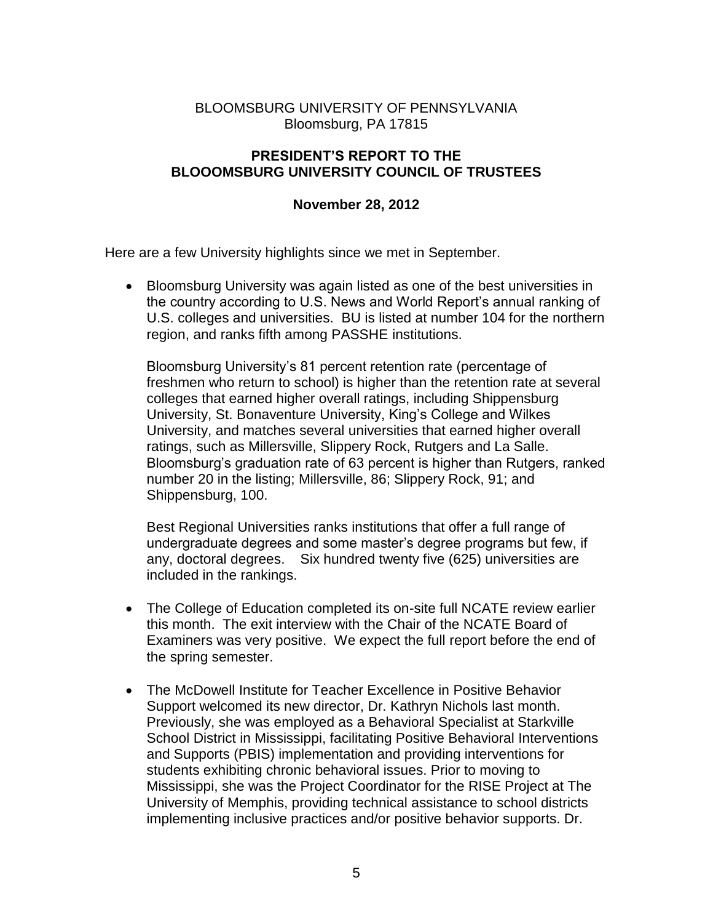# BLOOMSBURG UNIVERSITY OF PENNSYLVANIA Bloomsburg, PA 17815

# **PRESIDENT'S REPORT TO THE BLOOOMSBURG UNIVERSITY COUNCIL OF TRUSTEES**

# **November 28, 2012**

Here are a few University highlights since we met in September.

 Bloomsburg University was again listed as one of the best universities in the country according to U.S. News and World Report's annual ranking of U.S. colleges and universities. BU is listed at number 104 for the northern region, and ranks fifth among PASSHE institutions.

Bloomsburg University's 81 percent retention rate (percentage of freshmen who return to school) is higher than the retention rate at several colleges that earned higher overall ratings, including Shippensburg University, St. Bonaventure University, King's College and Wilkes University, and matches several universities that earned higher overall ratings, such as Millersville, Slippery Rock, Rutgers and La Salle. Bloomsburg's graduation rate of 63 percent is higher than Rutgers, ranked number 20 in the listing; Millersville, 86; Slippery Rock, 91; and Shippensburg, 100.

Best Regional Universities ranks institutions that offer a full range of undergraduate degrees and some master's degree programs but few, if any, doctoral degrees. Six hundred twenty five (625) universities are included in the rankings.

- The College of Education completed its on-site full NCATE review earlier this month. The exit interview with the Chair of the NCATE Board of Examiners was very positive. We expect the full report before the end of the spring semester.
- The McDowell Institute for Teacher Excellence in Positive Behavior Support welcomed its new director, Dr. Kathryn Nichols last month. Previously, she was employed as a Behavioral Specialist at Starkville School District in Mississippi, facilitating Positive Behavioral Interventions and Supports (PBIS) implementation and providing interventions for students exhibiting chronic behavioral issues. Prior to moving to Mississippi, she was the Project Coordinator for the RISE Project at The University of Memphis, providing technical assistance to school districts implementing inclusive practices and/or positive behavior supports. Dr.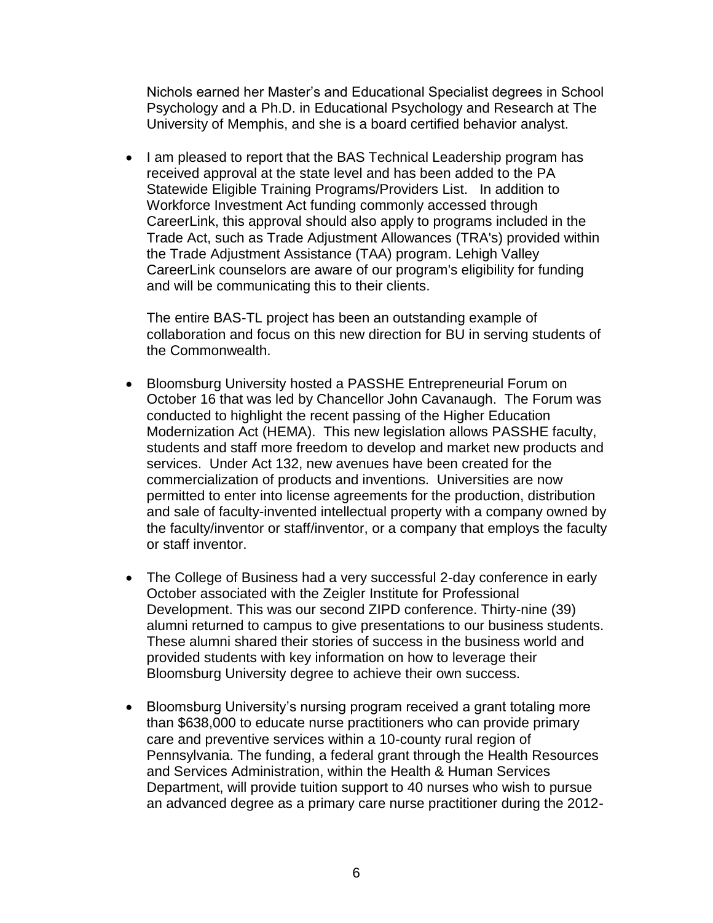Nichols earned her Master's and Educational Specialist degrees in School Psychology and a Ph.D. in Educational Psychology and Research at The University of Memphis, and she is a board certified behavior analyst.

• I am pleased to report that the BAS Technical Leadership program has received approval at the state level and has been added to the PA Statewide Eligible Training Programs/Providers List. In addition to Workforce Investment Act funding commonly accessed through CareerLink, this approval should also apply to programs included in the Trade Act, such as Trade Adjustment Allowances (TRA's) provided within the Trade Adjustment Assistance (TAA) program. Lehigh Valley CareerLink counselors are aware of our program's eligibility for funding and will be communicating this to their clients.

The entire BAS-TL project has been an outstanding example of collaboration and focus on this new direction for BU in serving students of the Commonwealth.

- Bloomsburg University hosted a PASSHE Entrepreneurial Forum on October 16 that was led by Chancellor John Cavanaugh. The Forum was conducted to highlight the recent passing of the Higher Education Modernization Act (HEMA). This new legislation allows PASSHE faculty, students and staff more freedom to develop and market new products and services. Under Act 132, new avenues have been created for the commercialization of products and inventions. Universities are now permitted to enter into license agreements for the production, distribution and sale of faculty-invented intellectual property with a company owned by the faculty/inventor or staff/inventor, or a company that employs the faculty or staff inventor.
- The College of Business had a very successful 2-day conference in early October associated with the Zeigler Institute for Professional Development. This was our second ZIPD conference. Thirty-nine (39) alumni returned to campus to give presentations to our business students. These alumni shared their stories of success in the business world and provided students with key information on how to leverage their Bloomsburg University degree to achieve their own success.
- Bloomsburg University's nursing program received a grant totaling more than \$638,000 to educate nurse practitioners who can provide primary care and preventive services within a 10-county rural region of Pennsylvania. The funding, a federal grant through the Health Resources and Services Administration, within the Health & Human Services Department, will provide tuition support to 40 nurses who wish to pursue an advanced degree as a primary care nurse practitioner during the 2012-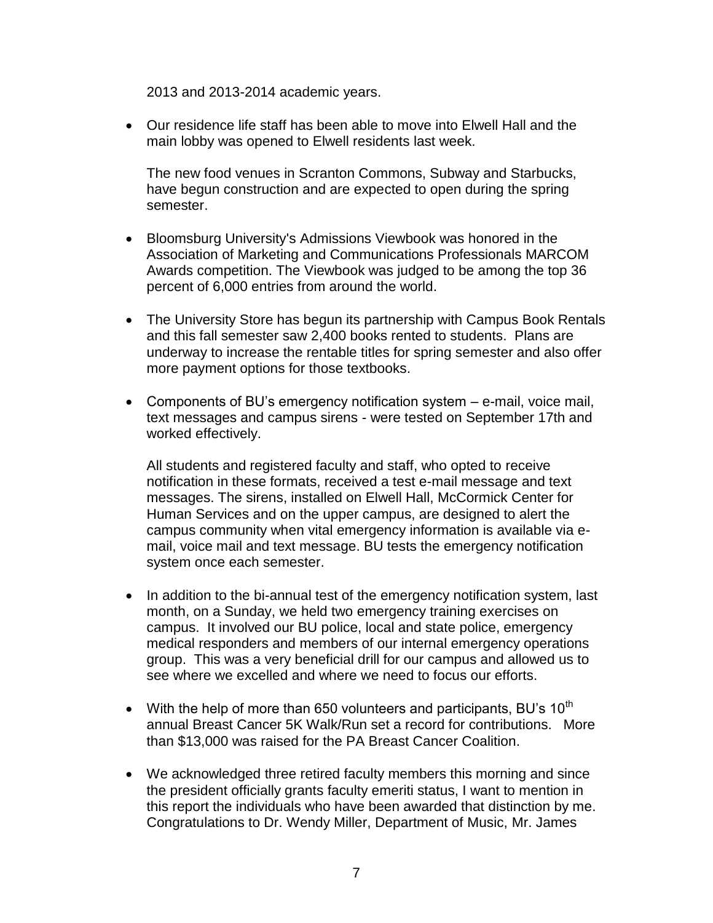2013 and 2013-2014 academic years.

 Our residence life staff has been able to move into Elwell Hall and the main lobby was opened to Elwell residents last week.

The new food venues in Scranton Commons, Subway and Starbucks, have begun construction and are expected to open during the spring semester.

- Bloomsburg University's Admissions Viewbook was honored in the Association of Marketing and Communications Professionals MARCOM Awards competition. The Viewbook was judged to be among the top 36 percent of 6,000 entries from around the world.
- The University Store has begun its partnership with Campus Book Rentals and this fall semester saw 2,400 books rented to students. Plans are underway to increase the rentable titles for spring semester and also offer more payment options for those textbooks.
- Components of BU's emergency notification system e-mail, voice mail, text messages and campus sirens - were tested on September 17th and worked effectively.

All students and registered faculty and staff, who opted to receive notification in these formats, received a test e-mail message and text messages. The sirens, installed on Elwell Hall, McCormick Center for Human Services and on the upper campus, are designed to alert the campus community when vital emergency information is available via email, voice mail and text message. BU tests the emergency notification system once each semester.

- In addition to the bi-annual test of the emergency notification system, last month, on a Sunday, we held two emergency training exercises on campus. It involved our BU police, local and state police, emergency medical responders and members of our internal emergency operations group. This was a very beneficial drill for our campus and allowed us to see where we excelled and where we need to focus our efforts.
- With the help of more than 650 volunteers and participants, BU's  $10^{th}$ annual Breast Cancer 5K Walk/Run set a record for contributions. More than \$13,000 was raised for the PA Breast Cancer Coalition.
- We acknowledged three retired faculty members this morning and since the president officially grants faculty emeriti status, I want to mention in this report the individuals who have been awarded that distinction by me. Congratulations to Dr. Wendy Miller, Department of Music, Mr. James